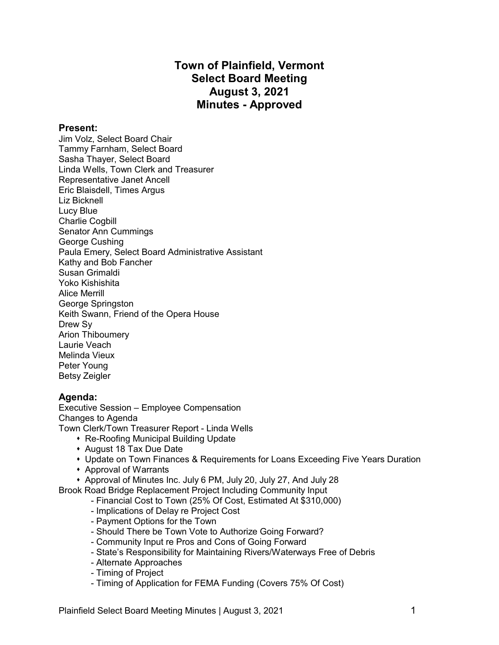# **Town of Plainfield, Vermont Select Board Meeting August 3, 2021 Minutes - Approved**

#### **Present:**

Jim Volz, Select Board Chair Tammy Farnham, Select Board Sasha Thayer, Select Board Linda Wells, Town Clerk and Treasurer Representative Janet Ancell Eric Blaisdell, Times Argus Liz Bicknell Lucy Blue Charlie Cogbill Senator Ann Cummings George Cushing Paula Emery, Select Board Administrative Assistant Kathy and Bob Fancher Susan Grimaldi Yoko Kishishita Alice Merrill George Springston Keith Swann, Friend of the Opera House Drew Sy Arion Thiboumery Laurie Veach Melinda Vieux Peter Young Betsy Zeigler

#### **Agenda:**

Executive Session – Employee Compensation Changes to Agenda Town Clerk/Town Treasurer Report - Linda Wells

- Re-Roofing Municipal Building Update
- August 18 Tax Due Date
- Update on Town Finances & Requirements for Loans Exceeding Five Years Duration
- **\*** Approval of Warrants
- \* Approval of Minutes Inc. July 6 PM, July 20, July 27, And July 28

Brook Road Bridge Replacement Project Including Community Input

- Financial Cost to Town (25% Of Cost, Estimated At \$310,000)
- Implications of Delay re Project Cost
- Payment Options for the Town
- Should There be Town Vote to Authorize Going Forward?
- Community Input re Pros and Cons of Going Forward
- State's Responsibility for Maintaining Rivers/Waterways Free of Debris
- Alternate Approaches
- Timing of Project
- Timing of Application for FEMA Funding (Covers 75% Of Cost)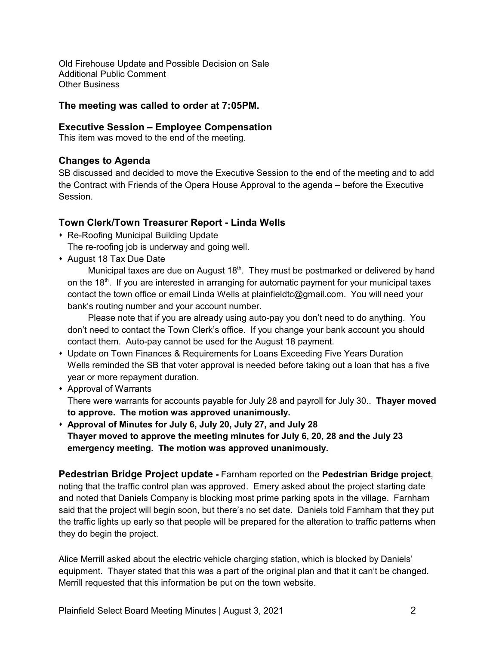Old Firehouse Update and Possible Decision on Sale Additional Public Comment Other Business

### **The meeting was called to order at 7:05PM.**

### **Executive Session – Employee Compensation**

This item was moved to the end of the meeting.

### **Changes to Agenda**

SB discussed and decided to move the Executive Session to the end of the meeting and to add the Contract with Friends of the Opera House Approval to the agenda – before the Executive Session.

### **Town Clerk/Town Treasurer Report - Linda Wells**

- Re-Roofing Municipal Building Update The re-roofing job is underway and going well.
- August 18 Tax Due Date

Municipal taxes are due on August 18<sup>th</sup>. They must be postmarked or delivered by hand on the 18<sup>th</sup>. If you are interested in arranging for automatic payment for your municipal taxes contact the town office or email Linda Wells at plainfieldtc@gmail.com. You will need your bank's routing number and your account number.

Please note that if you are already using auto-pay you don't need to do anything. You don't need to contact the Town Clerk's office. If you change your bank account you should contact them. Auto-pay cannot be used for the August 18 payment.

- Update on Town Finances & Requirements for Loans Exceeding Five Years Duration Wells reminded the SB that voter approval is needed before taking out a loan that has a five year or more repayment duration.
- Approval of Warrants

There were warrants for accounts payable for July 28 and payroll for July 30.. **Thayer moved to approve. The motion was approved unanimously.**

s **Approval of Minutes for July 6, July 20, July 27, and July 28 Thayer moved to approve the meeting minutes for July 6, 20, 28 and the July 23 emergency meeting. The motion was approved unanimously.**

**Pedestrian Bridge Project update -** Farnham reported on the **Pedestrian Bridge project**, noting that the traffic control plan was approved. Emery asked about the project starting date and noted that Daniels Company is blocking most prime parking spots in the village. Farnham said that the project will begin soon, but there's no set date. Daniels told Farnham that they put the traffic lights up early so that people will be prepared for the alteration to traffic patterns when they do begin the project.

Alice Merrill asked about the electric vehicle charging station, which is blocked by Daniels' equipment. Thayer stated that this was a part of the original plan and that it can't be changed. Merrill requested that this information be put on the town website.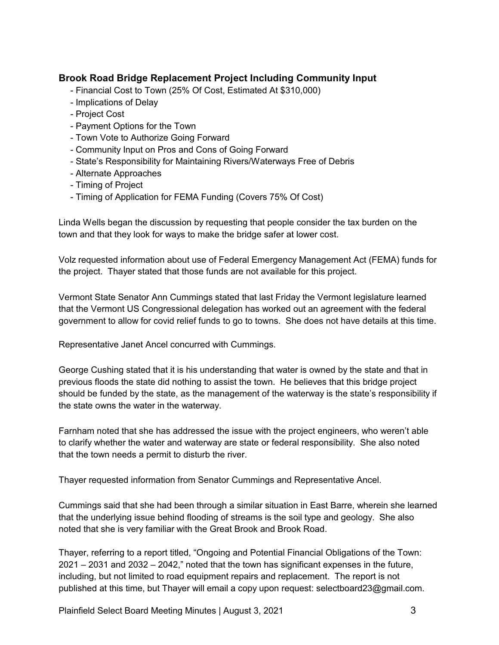## **Brook Road Bridge Replacement Project Including Community Input**

- Financial Cost to Town (25% Of Cost, Estimated At \$310,000)
- Implications of Delay
- Project Cost
- Payment Options for the Town
- Town Vote to Authorize Going Forward
- Community Input on Pros and Cons of Going Forward
- State's Responsibility for Maintaining Rivers/Waterways Free of Debris
- Alternate Approaches
- Timing of Project
- Timing of Application for FEMA Funding (Covers 75% Of Cost)

Linda Wells began the discussion by requesting that people consider the tax burden on the town and that they look for ways to make the bridge safer at lower cost.

Volz requested information about use of Federal Emergency Management Act (FEMA) funds for the project. Thayer stated that those funds are not available for this project.

Vermont State Senator Ann Cummings stated that last Friday the Vermont legislature learned that the Vermont US Congressional delegation has worked out an agreement with the federal government to allow for covid relief funds to go to towns. She does not have details at this time.

Representative Janet Ancel concurred with Cummings.

George Cushing stated that it is his understanding that water is owned by the state and that in previous floods the state did nothing to assist the town. He believes that this bridge project should be funded by the state, as the management of the waterway is the state's responsibility if the state owns the water in the waterway.

Farnham noted that she has addressed the issue with the project engineers, who weren't able to clarify whether the water and waterway are state or federal responsibility. She also noted that the town needs a permit to disturb the river.

Thayer requested information from Senator Cummings and Representative Ancel.

Cummings said that she had been through a similar situation in East Barre, wherein she learned that the underlying issue behind flooding of streams is the soil type and geology. She also noted that she is very familiar with the Great Brook and Brook Road.

Thayer, referring to a report titled, "Ongoing and Potential Financial Obligations of the Town: 2021 – 2031 and 2032 – 2042," noted that the town has significant expenses in the future, including, but not limited to road equipment repairs and replacement. The report is not published at this time, but Thayer will email a copy upon request: selectboard23@gmail.com.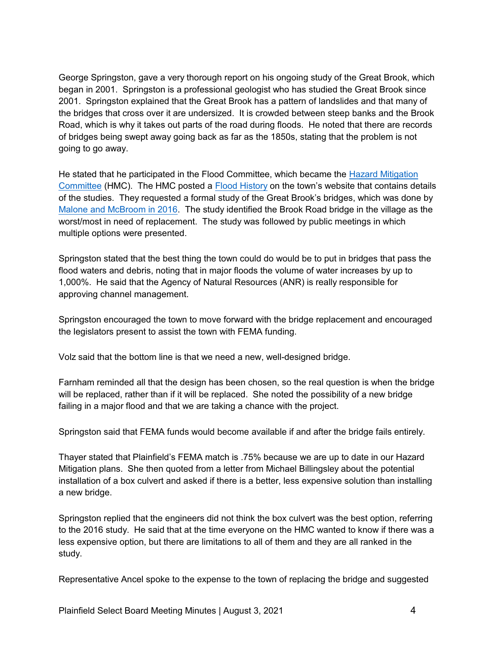George Springston, gave a very thorough report on his ongoing study of the Great Brook, which began in 2001. Springston is a professional geologist who has studied the Great Brook since 2001. Springston explained that the Great Brook has a pattern of landslides and that many of the bridges that cross over it are undersized. It is crowded between steep banks and the Brook Road, which is why it takes out parts of the road during floods. He noted that there are records of bridges being swept away going back as far as the 1850s, stating that the problem is not going to go away.

He stated that he participated in the Flood Committee, which became the [Hazard Mitigation](https://www.plainfieldvt.us/hazardmiti-147173.html) [Committee](https://www.plainfieldvt.us/hazardmiti-147173.html) (HMC). The HMC posted a [Flood History](https://www.plainfieldvt.us/uploads/8/1/0/6/81063668/2015-02-15_great_brook_updat) on the town's website that contains details of the studies. They requested a formal study of the Great Brook's bridges, which was done by [Malone and McBroom in 2016](https://www.plainfieldvt.us/uploads/8/1/0/6/81063668/2016-02-16_great_brook_bridg). The study identified the Brook Road bridge in the village as the worst/most in need of replacement. The study was followed by public meetings in which multiple options were presented.

Springston stated that the best thing the town could do would be to put in bridges that pass the flood waters and debris, noting that in major floods the volume of water increases by up to 1,000%. He said that the Agency of Natural Resources (ANR) is really responsible for approving channel management.

Springston encouraged the town to move forward with the bridge replacement and encouraged the legislators present to assist the town with FEMA funding.

Volz said that the bottom line is that we need a new, well-designed bridge.

Farnham reminded all that the design has been chosen, so the real question is when the bridge will be replaced, rather than if it will be replaced. She noted the possibility of a new bridge failing in a major flood and that we are taking a chance with the project.

Springston said that FEMA funds would become available if and after the bridge fails entirely.

Thayer stated that Plainfield's FEMA match is .75% because we are up to date in our Hazard Mitigation plans. She then quoted from a letter from Michael Billingsley about the potential installation of a box culvert and asked if there is a better, less expensive solution than installing a new bridge.

Springston replied that the engineers did not think the box culvert was the best option, referring to the 2016 study. He said that at the time everyone on the HMC wanted to know if there was a less expensive option, but there are limitations to all of them and they are all ranked in the study.

Representative Ancel spoke to the expense to the town of replacing the bridge and suggested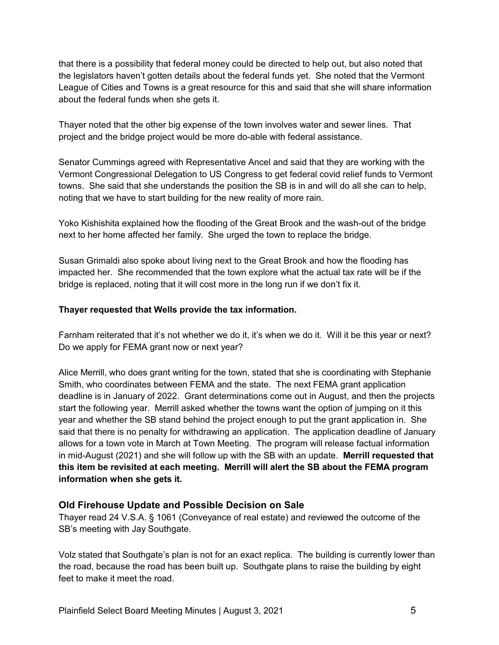that there is a possibility that federal money could be directed to help out, but also noted that the legislators haven't gotten details about the federal funds yet. She noted that the Vermont League of Cities and Towns is a great resource for this and said that she will share information about the federal funds when she gets it.

Thayer noted that the other big expense of the town involves water and sewer lines. That project and the bridge project would be more do-able with federal assistance.

Senator Cummings agreed with Representative Ancel and said that they are working with the Vermont Congressional Delegation to US Congress to get federal covid relief funds to Vermont towns. She said that she understands the position the SB is in and will do all she can to help, noting that we have to start building for the new reality of more rain.

Yoko Kishishita explained how the flooding of the Great Brook and the wash-out of the bridge next to her home affected her family. She urged the town to replace the bridge.

Susan Grimaldi also spoke about living next to the Great Brook and how the flooding has impacted her. She recommended that the town explore what the actual tax rate will be if the bridge is replaced, noting that it will cost more in the long run if we don't fix it.

### **Thayer requested that Wells provide the tax information.**

Farnham reiterated that it's not whether we do it, it's when we do it. Will it be this year or next? Do we apply for FEMA grant now or next year?

Alice Merrill, who does grant writing for the town, stated that she is coordinating with Stephanie Smith, who coordinates between FEMA and the state. The next FEMA grant application deadline is in January of 2022. Grant determinations come out in August, and then the projects start the following year. Merrill asked whether the towns want the option of jumping on it this year and whether the SB stand behind the project enough to put the grant application in. She said that there is no penalty for withdrawing an application. The application deadline of January allows for a town vote in March at Town Meeting. The program will release factual information in mid-August (2021) and she will follow up with the SB with an update. **Merrill requested that this item be revisited at each meeting. Merrill will alert the SB about the FEMA program information when she gets it.**

### **Old Firehouse Update and Possible Decision on Sale**

Thayer read 24 V.S.A. § 1061 (Conveyance of real estate) and reviewed the outcome of the SB's meeting with Jay Southgate.

Volz stated that Southgate's plan is not for an exact replica. The building is currently lower than the road, because the road has been built up. Southgate plans to raise the building by eight feet to make it meet the road.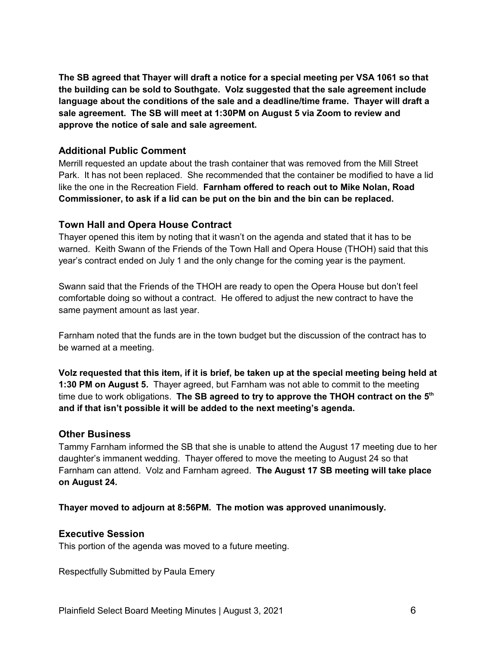**The SB agreed that Thayer will draft a notice for a special meeting per VSA 1061 so that the building can be sold to Southgate. Volz suggested that the sale agreement include language about the conditions of the sale and a deadline/time frame. Thayer will draft a sale agreement. The SB will meet at 1:30PM on August 5 via Zoom to review and approve the notice of sale and sale agreement.**

### **Additional Public Comment**

Merrill requested an update about the trash container that was removed from the Mill Street Park. It has not been replaced. She recommended that the container be modified to have a lid like the one in the Recreation Field. **Farnham offered to reach out to Mike Nolan, Road Commissioner, to ask if a lid can be put on the bin and the bin can be replaced.**

### **Town Hall and Opera House Contract**

Thayer opened this item by noting that it wasn't on the agenda and stated that it has to be warned. Keith Swann of the Friends of the Town Hall and Opera House (THOH) said that this year's contract ended on July 1 and the only change for the coming year is the payment.

Swann said that the Friends of the THOH are ready to open the Opera House but don't feel comfortable doing so without a contract. He offered to adjust the new contract to have the same payment amount as last year.

Farnham noted that the funds are in the town budget but the discussion of the contract has to be warned at a meeting.

**Volz requested that this item, if it is brief, be taken up at the special meeting being held at 1:30 PM on August 5.** Thayer agreed, but Farnham was not able to commit to the meeting time due to work obligations. **The SB agreed to try to approve the THOH contract on the 5 th and if that isn't possible it will be added to the next meeting's agenda.**

#### **Other Business**

Tammy Farnham informed the SB that she is unable to attend the August 17 meeting due to her daughter's immanent wedding. Thayer offered to move the meeting to August 24 so that Farnham can attend. Volz and Farnham agreed. **The August 17 SB meeting will take place on August 24.**

**Thayer moved to adjourn at 8:56PM. The motion was approved unanimously.**

### **Executive Session**

This portion of the agenda was moved to a future meeting.

Respectfully Submitted by Paula Emery